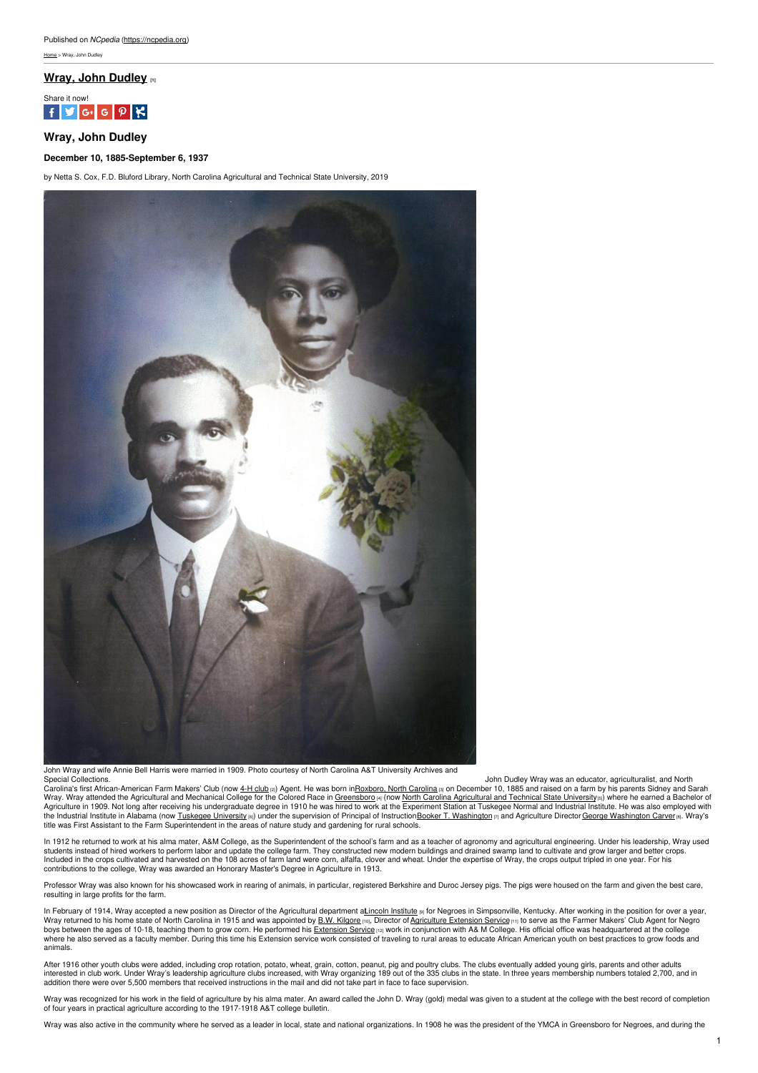# **Wray, John [Dudley](https://ncpedia.org/biography/wray-john-dudley) [1]**



# **Wray, John Dudley**

## **December 10, 1885-September 6, 1937**

by Netta S. Cox, F.D. Bluford Library, North Carolina Agricultural and Technical State University, 2019



John Wray and wife Annie Bell Harris were married in 1909. Photo courtesy of North Carolina A&T University Archives and Special Collections.

Special Collections.<br>Caroling is an educator, agriculturalist, and North Caroling Special Collections.<br>Wray. Wray atterated the Agricultural and Mechanical College for the Colored Race in <u>[Greensboro](https://www.greensboro-nc.gov/), North Carolina</u> and D title was First Assistant to the Farm Superintendent in the areas of nature study and gardening for rural schools.

In 1912 he returned to work at his alma mater, A&M College, as the Superintendent of the school's farm and as a teacher of agronomy and agricultural engineering. Under his leadership, Wray used students instead of hired workers to perform labor and update the college farm. They constructed new modern buildings and drained swamp land to cultivate and grow larger and better crops.<br>Included in the crops cultivated a contributions to the college, Wray was awarded an Honorary Master's Degree in Agriculture in 1913.

Professor Wray was also known for his showcased work in rearing of animals, in particular, registered Berkshire and Duroc Jersey pigs. The pigs were housed on the farm and given the best care, resulting in large profits for the farm.

In February of 1914, Wray accepted a new position as Director of the Agricultural department a<u>Lincoln [Institute](https://lincolnfdn.org/about-us/) ⊚</u> for Negroes in Simpsonville, Kentucky. After working in the position for over a year,<br>Wray returned to hi where he also served as a faculty member. During this time his Extension service work consisted of traveling to rural areas to educate African American youth on best practices to grow foods and animals.

After 1916 other youth clubs were added, including crop rotation, potato, wheat, grain, cotton, peanut, pig and poultry clubs. The clubs eventually added young girls, parents and other adults<br>interested in club work. Under

Wray was recognized for his work in the field of agriculture by his alma mater. An award called the John D. Wray (gold) medal was given to a student at the college with the best record of completion<br>of four years in practi

Wray was also active in the community where he served as a leader in local, state and national organizations. In 1908 he was the president of the YMCA in Greensboro for Negroes, and during the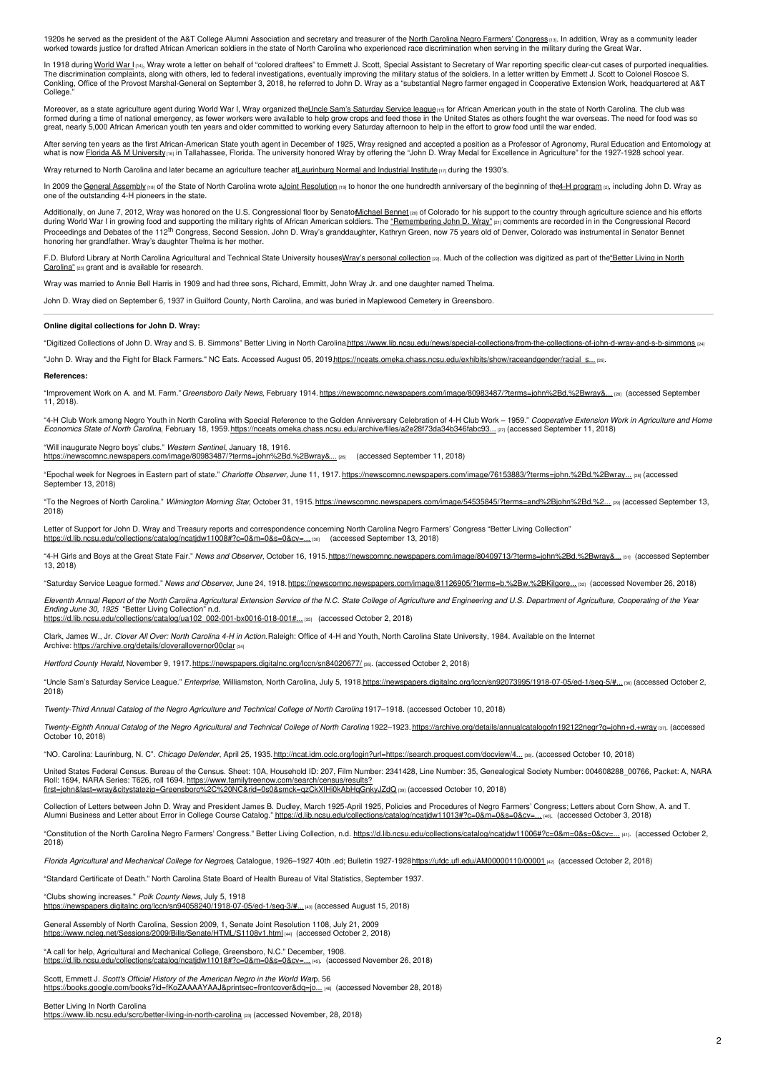1920s he served as the president of the A&T College Alumni Association and secretary and treasurer of the North Carolina Negro Farmers' [Congress](https://d.lib.ncsu.edu/collections/catalog/ncatjdw11006#?c=0&m=0&s=0&cv=1&z=322.2924%2C-564.5332%2C6028.3334%2C3801.5857) [13]. In addition, Wray as a community leader worked towards justice for drafted African American soldiers in the state of North Carolina who experienced race discrimination when serving in the military during the Great War.

In 1918 during [World](https://www.ncpedia.org/world-war-i) War I<sub>1<sup>14]</sup>, Wray wrote a letter on behalf of "colored draftees" to Emmett J. Scott, Special Assistant to Secretary of War reporting specific clear-cut cases of purported inequalities.</sub> The discrimination complaints, along with others, led to federal investigations, eventually improving the military status of the soldiers. In a letter written by Emmett J. Scott to Colonel Roscoe S.<br>Conkling, Office of the College<sup>1</sup>

Moreover, as a state agriculture agent during World War I, Wray organized the<u>Uncle Sam's [Saturday](https://www.lib.ncsu.edu/specialcollections/greenngrowing/essay_wwi.html) Service leaguens</u> for African American youth in the state of North Carolina. The club was<br>formed during a time of national great, nearly 5,000 African American youth ten years and older committed to working every Saturday afternoon to help in the effort to grow food until the war ended.

After serving ten years as the first African-American State youth agent in December of 1925, Wray resigned and accepted a position as a Professor of Agronomy, Rural Education and Entomology at<br>what is now <u>Florida A& M Un</u>

Wray returned to North Carolina and later became an agriculture teacher at *Laurinburg Normal and Industrial Institute* [17] during the 1930's.

In 2009 the General [Assembly](https://www.ncpedia.org/general-assembly) [18] of the State of North Carolina wrote a Joint [Resolution](http://www.ncleg.net/Sessions/2009/Bills/Senate/HTML/S1108v1.html) [18] to honor the one hundredth anniversary of the beginning of the4-H [program](https://ncpedia.org/4-h-clubs) [2], including John D. Wray as one of the outstanding 4-H pioneers in the state.

Additionally, on June 7, 2012, Wray was honored on the U.S. Congressional floor by Senato<u>Michael Bennet [20]</u> of Colorado for his support to the country through agriculture science and his efforts during World War I in growing food and supporting the military rights of African American soldiers. The ["Remembering](https://www.congress.gov/congressional-record/2012/06/07/senate-section/article/S3836-1) John D. Wray" [21] comments are recorded in in the Congressional Record Proceedings and Debates of the 112<sup>th</sup> Congress, Second Session. John D. Wray's granddaughter, Kathryn Green, now 75 years old of Denver, Colorado was instrumental in Senator Bennet honoring her grandfather. Wray's daughter Thelma is her mother.

F.D. Bluford Library at North Carolina Agricultural and Technical State University houses Wray's personal [collection](https://d.lib.ncsu.edu/collections/catalog?utf8=%E2%9C%93&q=%22john+d.+wray%22) [22]. Much of the collection was digitized as part of the "Better Living in North Carolina" [23] grant and is available for research.

Wray was married to Annie Bell Harris in 1909 and had three sons, Richard, Emmitt, John Wray Jr. and one daughter named Thelma.

John D. Wray died on September 6, 1937 in Guilford County, North Carolina, and was buried in Maplewood Cemetery in Greensboro.

## **Online digital collections for John D. Wray:**

"Digitized Collections of John D. Wray and S. B. Simmons" Better Living in North Carolina,https://www.lib.ncsu.edu/news/special-collections/from-the-collections-of-john-d-wray-and-s-b

"John D. Wray and the Fight for Black Farmers." NC Eats. Accessed August 05, 2019.https://nceats.omeka.chass.ncsu.edu/exhibits/show/raceandgender/racial\_s..

#### **References:**

"Improvement Work on A. and M. Farm."*Greensboro Daily News*, February 1914. [https://newscomnc.newspapers.com/image/80983487/?terms=john%2Bd.%2Bwray&...](https://newscomnc.newspapers.com/image/80983487/?terms=john%2Bd.%2Bwray&pqsid=VUSJyOtf7ZUjfgvS-qK1Ng%3A55000%3A1831327959) [26] (accessed September 11, 2018).

"4-H Club Work among Negro Youth in North Carolina with Special Reference to the Golden Anniversary Celebration of 4-H Club Work – 1959." *Cooperative Extension Work in Agriculture and Home*<br>*Economics State of North Carol* 

"Will inaugurate Negro boys' clubs." *Western Sentinel*, January 18, 1916.

pers.com/image/80983487/?terms=john%2Bd.%2Bwray&... [26] (accessed September 11, 2018)

"Epochal week for Negroes in Eastern part of state." *Charlotte Observer,* June 11, 1917. [https://newscomnc.newspapers.com/image/76153883/?terms=john.%2Bd.%2Bwray...](https://newscomnc.newspapers.com/image/76153883/?terms=john.%2Bd.%2Bwray%2Band%2Bnews%2Band%2Bobserver&pqsid=qKchJelRbkG4JHCKSNKr8g%3A275000%3A1162686828) [28] (accessed September 13, 2018)

"To the Negroes of North Carolina." *Wilmington Morning Star*, October 31, 1915.[https://newscomnc.newspapers.com/image/54535845/?terms=and%2Bjohn%2Bd.%2...](https://newscomnc.newspapers.com/image/54535845/?terms=and%2Bjohn%2Bd.%2Bwray&pqsid=qKchJelRbkG4JHCKSNKr8g%3A2782000%3A1141023470) [29] (accessed September 13, 2018)

Letter of Support for John D. Wray and Treasury reports and correspondence concerning North Carolina Negro Farmers' Congress "Better Living Collection" [https://d.lib.ncsu.edu/collections/catalog/ncatjdw11008#?c=0&m=0&s=0&cv=...](https://d.lib.ncsu.edu/collections/catalog/ncatjdw11008#?c=0&m=0&s=0&cv=0&z=-1361.3635%2C-814.1169%2C5356.2835%2C3377.7778) [30] (accessed September 13, 2018)

"4-H Girls and Boys at the Great State Fair." *News and Observer*, October 16, 1915.[https://newscomnc.newspapers.com/image/80409713/?terms=john%2Bd.%2Bwray&...](https://newscomnc.newspapers.com/image/80409713/?terms=john%2Bd.%2Bwray&pqsid=O8hyAes1TX9uXYHXnkAv0A%3A2643000%3A1638548379) [31] (accessed September 13, 2018)

"Saturday Service League formed." *News and Observer*, June 24, 1918. [https://newscomnc.newspapers.com/image/81126905/?terms=b.%2Bw.%2BKilgore...](https://newscomnc.newspapers.com/image/81126905/?terms=b.%2Bw.%2BKilgore%2Band%2BJ.D.%2BWray&pqsid=dzC7qa_Vxqp9hfqtdnKs0A%3A1435000%3A897991026��) [32] (accessed November 26, 2018)

Eleventh Annual Report of the North Carolina Agricultural Extension Service of the N.C. State College of Agriculture and Engineering and U.S. Department of Agriculture, Cooperating of the Year *Ending June 30, 1925* "Better Living Collection" n.d. [https://d.lib.ncsu.edu/collections/catalog/ua102\\_002-001-bx0016-018-001#...](https://d.lib.ncsu.edu/collections/catalog/ua102_002-001-bx0016-018-001#?c=0&m=0&s=0&cv=21&z=-1155.5132%2C-307.3333%2C9747.0263%2C6146.6667) [33] (accessed October 2, 2018)

Clark, James W., Jr. *Clover All Over: North Carolina 4-H in Action.*Raleigh: Office of 4-H and Youth, North Carolina State University, 1984. Available on the Internet

Archive: <https://archive.org/details/cloverallovernor00clar> [34]

*Hertford County Herald*, November 9, 1917. <https://newspapers.digitalnc.org/lccn/sn84020677/> [35]. (accessed October 2, 2018)

"Uncle Sam's Saturday Service League." *Enterprise*, Williamston, North Carolina, July 5, 1918.[https://newspapers.digitalnc.org/lccn/sn92073995/1918-07-05/ed-1/seq-5/#...](https://newspapers.digitalnc.org/lccn/sn92073995/1918-07-05/ed-1/seq-5/#index=1&rows=20&proxtext=uncle+sam+saturday&searchType=basic&sequence=0&words=SAM+SATURDAY+UNCLE&page=1) [36] (accessed October 2, 2018)

*Twenty-Third Annual Catalog of the Negro Agriculture and Technical College of North Carolina*, 1917–1918. (accessed October 10, 2018)

Twenty-Eighth Annual Catalog of the Negro Agricultural and Technical College of North Carolina 1922-1923, https://archive.org/details/annualcatalogofn192122negr?g=iohn+d.+wray 871. (accessed October 10, 2018)

"NO. Carolina: Laurinburg, N. C". Chicago Defender, April 25, 1935. http://ncat.idm.oclc.org/login?url=https://search.proquest.com/docview/4... [38]. (accessed October 10, 2018)

United States Federal Census. Bureau of the Census. Sheet: 10A, Household ID: 207, Film Number: 2341428, Line Number: 35, Genealogical Society Number: 004608288\_00766, Packet: A, NARA Roll: 1694, NARA Series: T626, roll 1694. https://www.familytreenow.com/search/census/results? [first=john&last=wray&citystatezip=Greensboro%2C%20NC&rid=0s0&smck=qzCkXIHi0kAbHqGnkyJZdQ](https://www.familytreenow.com/search/census/results?first=john&last=wray&citystatezip=Greensboro%2C NC&rid=0s0&smck=qzCkXIHi0kAbHqGnkyJZdQ) [39] (accessed October 10, 2018)

Collection of Letters between John D. Wray and President James B. Dudley, March 1925-April 1925, Policies and Procedures of Negro Farmers' Congress; Letters about Corn Show, A. and T.<br>Alumni Business and Letter about Error

"Constitution of the North Carolina Negro Farmers' Congress." Better Living Collection, n.d. https://d.lib.ncsu.edu/collections/catalog/ncatidw11006#?c=0&m=0&s=0&cv=... [41]. (accessed October 2, 2018)

*Florida Agricultural and Mechanical College for Negroes*, Catalogue, 1926–1927 40th .ed; Bulletin 1927-1928<https://ufdc.ufl.edu/AM00000110/00001> [42] (accessed October 2, 2018)

"Standard Certificate of Death." North Carolina State Board of Health Bureau of Vital Statistics, September 1937.

"Clubs showing increases." *Polk County News*, July 5, 1918 [https://newspapers.digitalnc.org/lccn/sn94058240/1918-07-05/ed-1/seq-3/#...](https://newspapers.digitalnc.org/lccn/sn94058240/1918-07-05/ed-1/seq-3/#index=9&rows=20&proxtext=John+D.+Wray&searchType=basic&sequence=0&words=D+John+Wray&page=1) [43] (accessed August 15, 2018)

General Assembly of North Carolina, Session 2009, 1, Senate Joint Resolution 1108, July 21, 2009

w.ncleg.net/Sessions/2009/Bills/Senate/HTML/S1108v1.html [44] (accessed October 2, 2018)

"A call for help, Agricultural and Mechanical College, Greensboro, N.C." December, 1908. [https://d.lib.ncsu.edu/collections/catalog/ncatjdw11018#?c=0&m=0&s=0&cv=...](https://d.lib.ncsu.edu/collections/catalog/ncatjdw11018#?c=0&m=0&s=0&cv=1&z=343.7166%2C-102.0604%2C3525.2701%2C2223.1047) [45]. (accessed November 26, 2018)

Scott, Emmett J. *Scott's Official History of the American Negro in the World War*p. 56 om/books?id=fKoZAAAAYAAJ&printsec=frontcover&dq=jo... [46] (accessed November 28, 2018)

Better Living In North Carolina <https://www.lib.ncsu.edu/scrc/better-living-in-north-carolina> [23] (accessed November, 28, 2018)